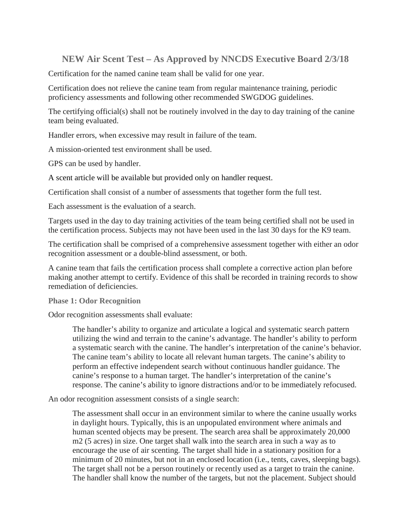## **NEW Air Scent Test – As Approved by NNCDS Executive Board 2/3/18**

Certification for the named canine team shall be valid for one year.

Certification does not relieve the canine team from regular maintenance training, periodic proficiency assessments and following other recommended SWGDOG guidelines.

The certifying official(s) shall not be routinely involved in the day to day training of the canine team being evaluated.

Handler errors, when excessive may result in failure of the team.

A mission-oriented test environment shall be used.

GPS can be used by handler.

A scent article will be available but provided only on handler request.

Certification shall consist of a number of assessments that together form the full test.

Each assessment is the evaluation of a search.

Targets used in the day to day training activities of the team being certified shall not be used in the certification process. Subjects may not have been used in the last 30 days for the K9 team.

The certification shall be comprised of a comprehensive assessment together with either an odor recognition assessment or a double-blind assessment, or both.

A canine team that fails the certification process shall complete a corrective action plan before making another attempt to certify. Evidence of this shall be recorded in training records to show remediation of deficiencies.

## **Phase 1: Odor Recognition**

Odor recognition assessments shall evaluate:

The handler's ability to organize and articulate a logical and systematic search pattern utilizing the wind and terrain to the canine's advantage. The handler's ability to perform a systematic search with the canine. The handler's interpretation of the canine's behavior. The canine team's ability to locate all relevant human targets. The canine's ability to perform an effective independent search without continuous handler guidance. The canine's response to a human target. The handler's interpretation of the canine's response. The canine's ability to ignore distractions and/or to be immediately refocused.

An odor recognition assessment consists of a single search:

The assessment shall occur in an environment similar to where the canine usually works in daylight hours. Typically, this is an unpopulated environment where animals and human scented objects may be present. The search area shall be approximately 20,000 m2 (5 acres) in size. One target shall walk into the search area in such a way as to encourage the use of air scenting. The target shall hide in a stationary position for a minimum of 20 minutes, but not in an enclosed location (i.e., tents, caves, sleeping bags). The target shall not be a person routinely or recently used as a target to train the canine. The handler shall know the number of the targets, but not the placement. Subject should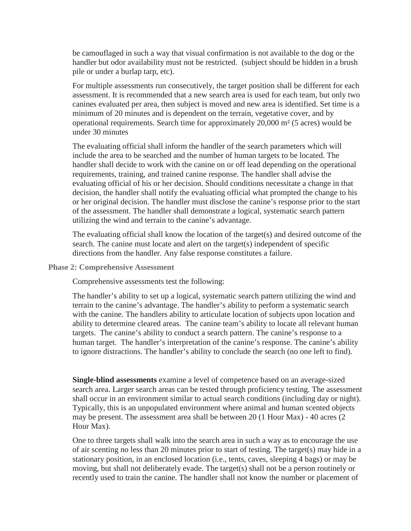be camouflaged in such a way that visual confirmation is not available to the dog or the handler but odor availability must not be restricted. (subject should be hidden in a brush pile or under a burlap tarp, etc).

For multiple assessments run consecutively, the target position shall be different for each assessment. It is recommended that a new search area is used for each team, but only two canines evaluated per area, then subject is moved and new area is identified. Set time is a minimum of 20 minutes and is dependent on the terrain, vegetative cover, and by operational requirements. Search time for approximately 20,000 m² (5 acres) would be under 30 minutes

The evaluating official shall inform the handler of the search parameters which will include the area to be searched and the number of human targets to be located. The handler shall decide to work with the canine on or off lead depending on the operational requirements, training, and trained canine response. The handler shall advise the evaluating official of his or her decision. Should conditions necessitate a change in that decision, the handler shall notify the evaluating official what prompted the change to his or her original decision. The handler must disclose the canine's response prior to the start of the assessment. The handler shall demonstrate a logical, systematic search pattern utilizing the wind and terrain to the canine's advantage.

The evaluating official shall know the location of the target(s) and desired outcome of the search. The canine must locate and alert on the target(s) independent of specific directions from the handler. Any false response constitutes a failure.

**Phase 2: Comprehensive Assessment**

Comprehensive assessments test the following:

The handler's ability to set up a logical, systematic search pattern utilizing the wind and terrain to the canine's advantage. The handler's ability to perform a systematic search with the canine. The handlers ability to articulate location of subjects upon location and ability to determine cleared areas. The canine team's ability to locate all relevant human targets. The canine's ability to conduct a search pattern. The canine's response to a human target. The handler's interpretation of the canine's response. The canine's ability to ignore distractions. The handler's ability to conclude the search (no one left to find).

**Single-blind assessments** examine a level of competence based on an average-sized search area. Larger search areas can be tested through proficiency testing. The assessment shall occur in an environment similar to actual search conditions (including day or night). Typically, this is an unpopulated environment where animal and human scented objects may be present. The assessment area shall be between 20 (1 Hour Max) - 40 acres (2 Hour Max).

One to three targets shall walk into the search area in such a way as to encourage the use of air scenting no less than 20 minutes prior to start of testing. The target(s) may hide in a stationary position, in an enclosed location (i.e., tents, caves, sleeping 4 bags) or may be moving, but shall not deliberately evade. The target(s) shall not be a person routinely or recently used to train the canine. The handler shall not know the number or placement of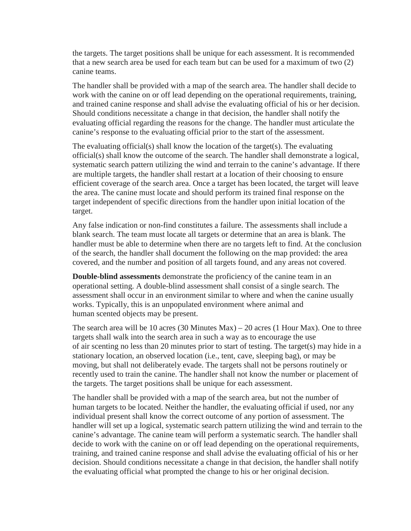the targets. The target positions shall be unique for each assessment. It is recommended that a new search area be used for each team but can be used for a maximum of two (2) canine teams.

The handler shall be provided with a map of the search area. The handler shall decide to work with the canine on or off lead depending on the operational requirements, training, and trained canine response and shall advise the evaluating official of his or her decision. Should conditions necessitate a change in that decision, the handler shall notify the evaluating official regarding the reasons for the change. The handler must articulate the canine's response to the evaluating official prior to the start of the assessment.

The evaluating official(s) shall know the location of the target(s). The evaluating official(s) shall know the outcome of the search. The handler shall demonstrate a logical, systematic search pattern utilizing the wind and terrain to the canine's advantage. If there are multiple targets, the handler shall restart at a location of their choosing to ensure efficient coverage of the search area. Once a target has been located, the target will leave the area. The canine must locate and should perform its trained final response on the target independent of specific directions from the handler upon initial location of the target.

Any false indication or non-find constitutes a failure. The assessments shall include a blank search. The team must locate all targets or determine that an area is blank. The handler must be able to determine when there are no targets left to find. At the conclusion of the search, the handler shall document the following on the map provided: the area covered, and the number and position of all targets found, and any areas not covered.

**Double-blind assessments** demonstrate the proficiency of the canine team in an operational setting. A double-blind assessment shall consist of a single search. The assessment shall occur in an environment similar to where and when the canine usually works. Typically, this is an unpopulated environment where animal and human scented objects may be present.

The search area will be 10 acres  $(30 \text{ minutes Max}) - 20 \text{ acres} (1 \text{ Hour Max})$ . One to three targets shall walk into the search area in such a way as to encourage the use of air scenting no less than 20 minutes prior to start of testing. The target(s) may hide in a stationary location, an observed location (i.e., tent, cave, sleeping bag), or may be moving, but shall not deliberately evade. The targets shall not be persons routinely or recently used to train the canine. The handler shall not know the number or placement of the targets. The target positions shall be unique for each assessment.

The handler shall be provided with a map of the search area, but not the number of human targets to be located. Neither the handler, the evaluating official if used, nor any individual present shall know the correct outcome of any portion of assessment. The handler will set up a logical, systematic search pattern utilizing the wind and terrain to the canine's advantage. The canine team will perform a systematic search. The handler shall decide to work with the canine on or off lead depending on the operational requirements, training, and trained canine response and shall advise the evaluating official of his or her decision. Should conditions necessitate a change in that decision, the handler shall notify the evaluating official what prompted the change to his or her original decision.